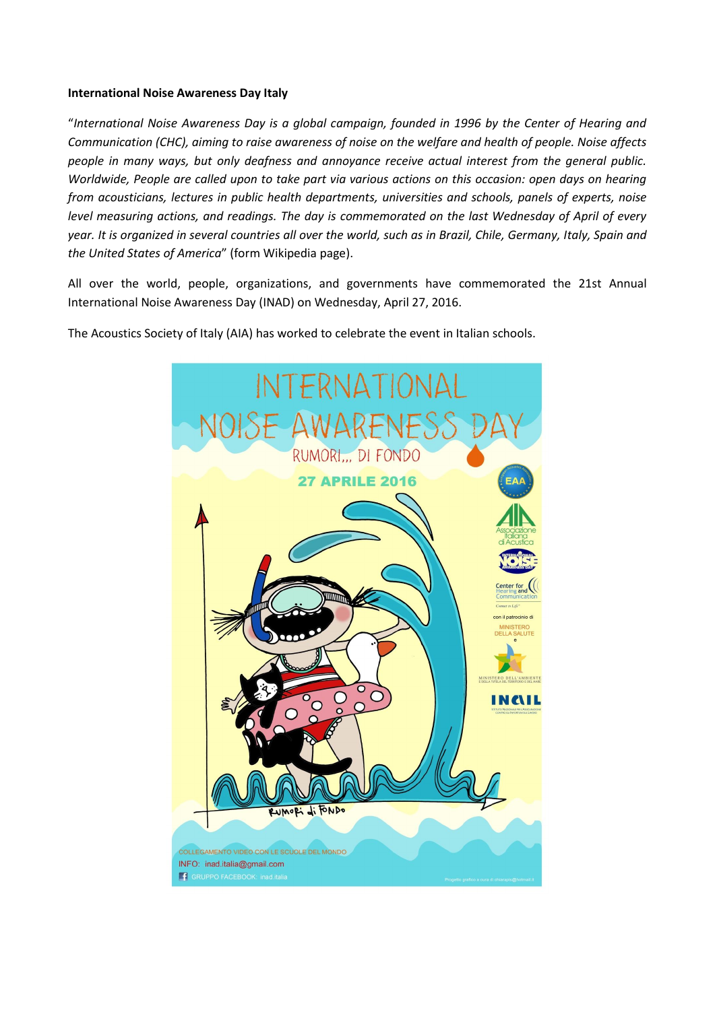## **International Noise Awareness Day Italy**

"*International Noise Awareness Day is a global campaign, founded in 1996 by the Center of Hearing and Communication (CHC), aiming to raise awareness of noise on the welfare and health of people. Noise affects people in many ways, but only deafness and annoyance receive actual interest from the general public. Worldwide, People are called upon to take part via various actions on this occasion: open days on hearing from acousticians, lectures in public health departments, universities and schools, panels of experts, noise level measuring actions, and readings. The day is commemorated on the last Wednesday of April of every year. It is organized in several countries all over the world, such as in Brazil, Chile, Germany, Italy, Spain and the United States of America*" (form Wikipedia page).

All over the world, people, organizations, and governments have commemorated the 21st Annual International Noise Awareness Day (INAD) on Wednesday, April 27, 2016.

The Acoustics Society of Italy (AIA) has worked to celebrate the event in Italian schools.

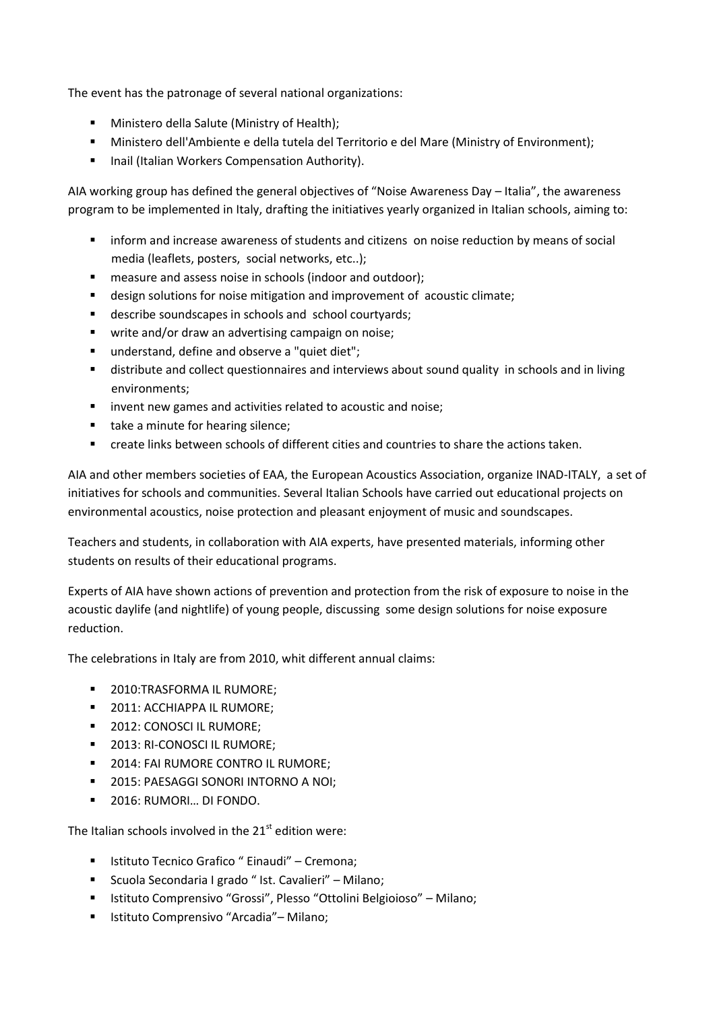The event has the patronage of several national organizations:

- **Ministero della Salute (Ministry of Health);**
- Ministero dell'Ambiente e della tutela del Territorio e del Mare (Ministry of Environment);
- Inail (Italian Workers Compensation Authority).

AIA working group has defined the general objectives of "Noise Awareness Day – Italia", the awareness program to be implemented in Italy, drafting the initiatives yearly organized in Italian schools, aiming to:

- inform and increase awareness of students and citizens on noise reduction by means of social media (leaflets, posters, social networks, etc..);
- **n** measure and assess noise in schools (indoor and outdoor);
- **design solutions for noise mitigation and improvement of acoustic climate;**
- describe soundscapes in schools and school courtyards;
- write and/or draw an advertising campaign on noise;
- understand, define and observe a "quiet diet";
- distribute and collect questionnaires and interviews about sound quality in schools and in living environments;
- **F** invent new games and activities related to acoustic and noise;
- take a minute for hearing silence;
- create links between schools of different cities and countries to share the actions taken.

AIA and other members societies of EAA, the European Acoustics Association, organize INAD-ITALY, a set of initiatives for schools and communities. Several Italian Schools have carried out educational projects on environmental acoustics, noise protection and pleasant enjoyment of music and soundscapes.

Teachers and students, in collaboration with AIA experts, have presented materials, informing other students on results of their educational programs.

Experts of AIA have shown actions of prevention and protection from the risk of exposure to noise in the acoustic daylife (and nightlife) of young people, discussing some design solutions for noise exposure reduction.

The celebrations in Italy are from 2010, whit different annual claims:

- **2010:TRASFORMA IL RUMORE;**
- **2011: ACCHIAPPA IL RUMORE;**
- **2012: CONOSCI IL RUMORE;**
- **2013: RI-CONOSCI IL RUMORE:**
- **2014: FAI RUMORE CONTRO IL RUMORE;**
- **2015: PAESAGGI SONORI INTORNO A NOI;**
- **2016: RUMORI... DI FONDO.**

The Italian schools involved in the  $21<sup>st</sup>$  edition were:

- Istituto Tecnico Grafico " Einaudi" Cremona:
- Scuola Secondaria I grado " Ist. Cavalieri" Milano;
- **E** Istituto Comprensivo "Grossi", Plesso "Ottolini Belgioioso" Milano;
- Istituto Comprensivo "Arcadia" Milano;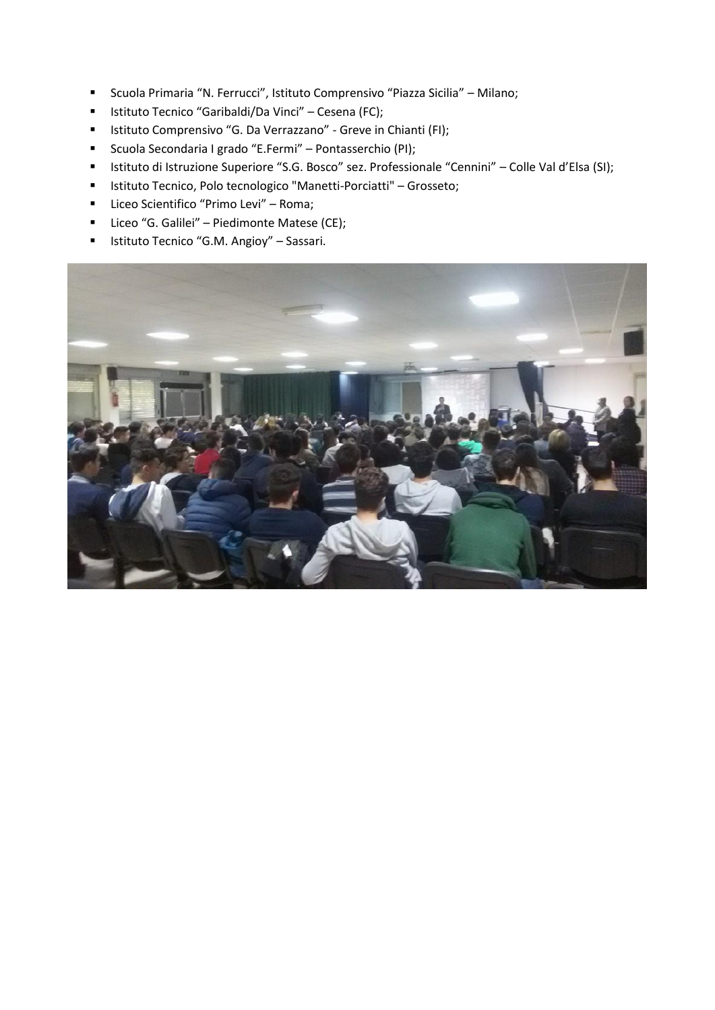- Scuola Primaria "N. Ferrucci", Istituto Comprensivo "Piazza Sicilia" Milano;
- Istituto Tecnico "Garibaldi/Da Vinci" Cesena (FC);
- **ISTITUTO COMPTENSIVO "G. Da Verrazzano" Greve in Chianti (FI);**
- Scuola Secondaria I grado "E.Fermi" Pontasserchio (PI);
- Istituto di Istruzione Superiore "S.G. Bosco" sez. Professionale "Cennini" Colle Val d'Elsa (SI);
- Istituto Tecnico, Polo tecnologico "Manetti-Porciatti" Grosseto;
- Liceo Scientifico "Primo Levi" Roma;
- Liceo "G. Galilei" Piedimonte Matese (CE);
- Istituto Tecnico "G.M. Angioy" Sassari.

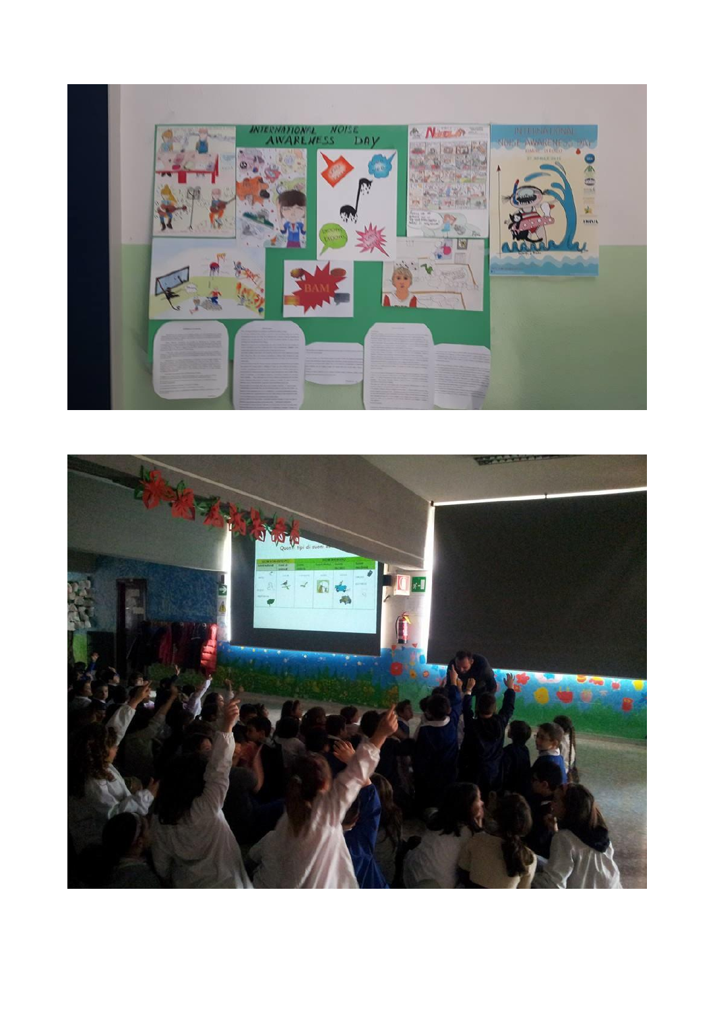